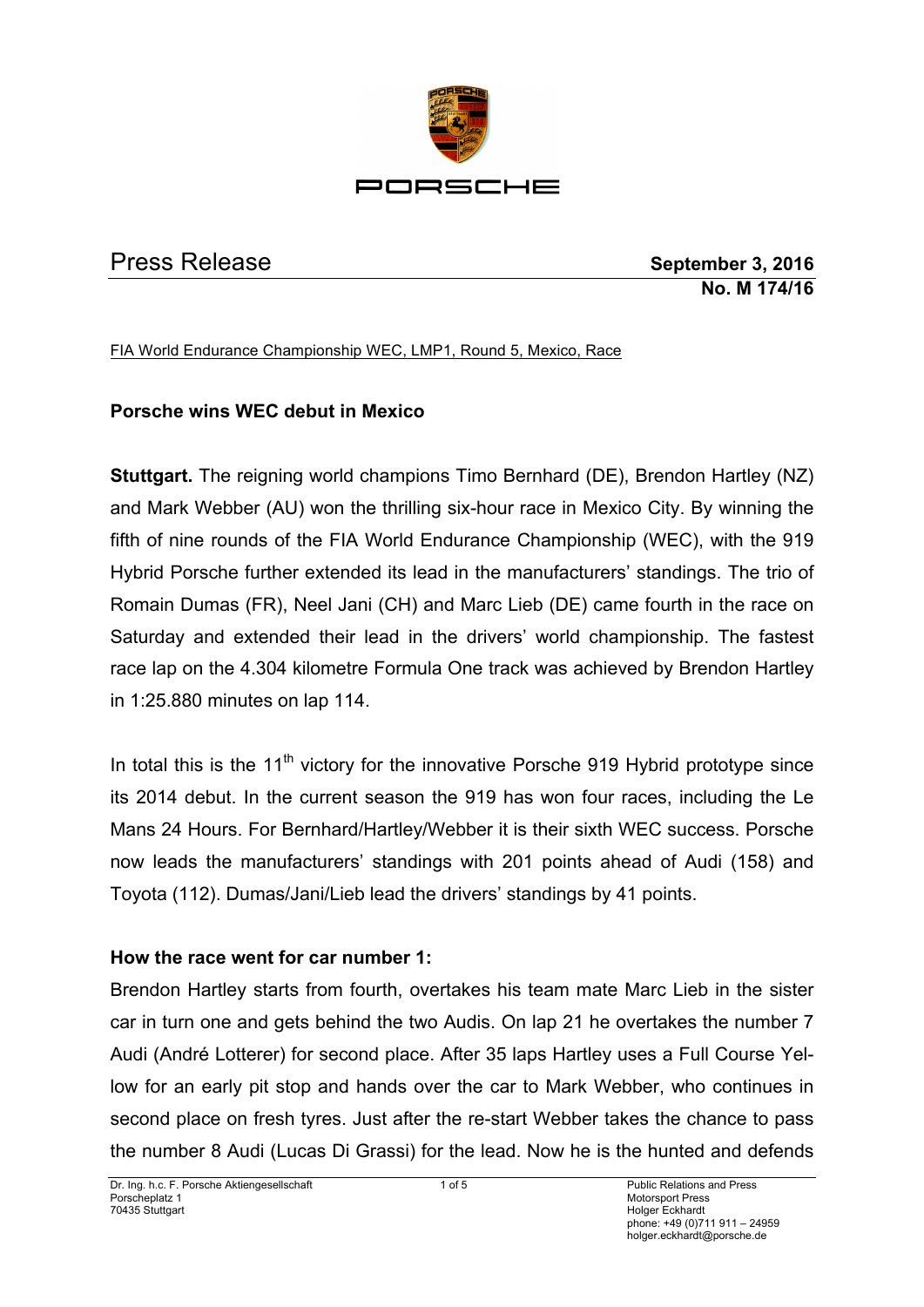

Press Release **September 3, 2016 No. M 174/16**

FIA World Endurance Championship WEC, LMP1, Round 5, Mexico, Race

# **Porsche wins WEC debut in Mexico**

**Stuttgart.** The reigning world champions Timo Bernhard (DE), Brendon Hartley (NZ) and Mark Webber (AU) won the thrilling six-hour race in Mexico City. By winning the fifth of nine rounds of the FIA World Endurance Championship (WEC), with the 919 Hybrid Porsche further extended its lead in the manufacturers' standings. The trio of Romain Dumas (FR), Neel Jani (CH) and Marc Lieb (DE) came fourth in the race on Saturday and extended their lead in the drivers' world championship. The fastest race lap on the 4.304 kilometre Formula One track was achieved by Brendon Hartley in 1:25.880 minutes on lap 114.

In total this is the  $11<sup>th</sup>$  victory for the innovative Porsche 919 Hybrid prototype since its 2014 debut. In the current season the 919 has won four races, including the Le Mans 24 Hours. For Bernhard/Hartley/Webber it is their sixth WEC success. Porsche now leads the manufacturers' standings with 201 points ahead of Audi (158) and Toyota (112). Dumas/Jani/Lieb lead the drivers' standings by 41 points.

### **How the race went for car number 1:**

Brendon Hartley starts from fourth, overtakes his team mate Marc Lieb in the sister car in turn one and gets behind the two Audis. On lap 21 he overtakes the number 7 Audi (André Lotterer) for second place. After 35 laps Hartley uses a Full Course Yellow for an early pit stop and hands over the car to Mark Webber, who continues in second place on fresh tyres. Just after the re-start Webber takes the chance to pass the number 8 Audi (Lucas Di Grassi) for the lead. Now he is the hunted and defends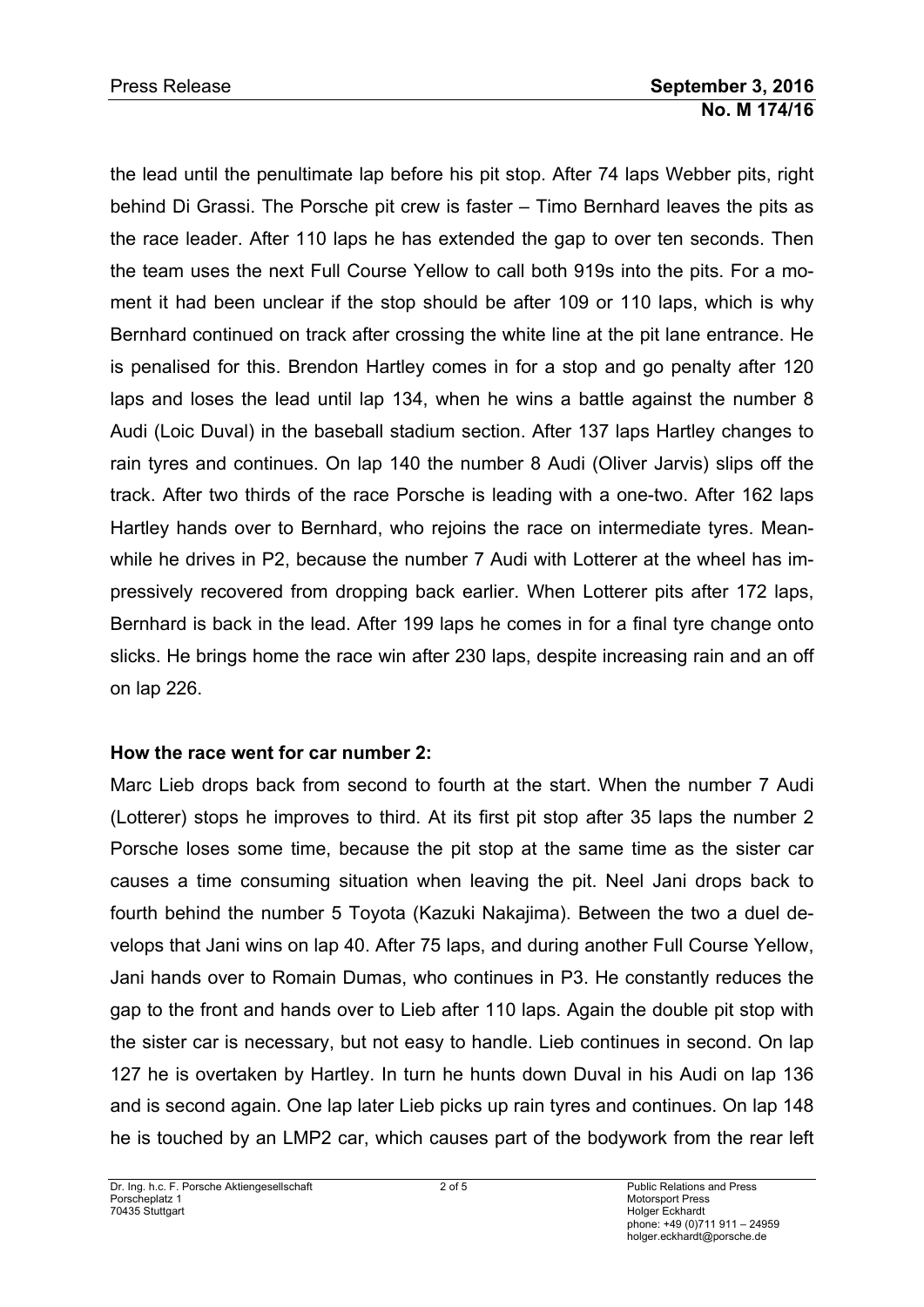the lead until the penultimate lap before his pit stop. After 74 laps Webber pits, right behind Di Grassi. The Porsche pit crew is faster – Timo Bernhard leaves the pits as the race leader. After 110 laps he has extended the gap to over ten seconds. Then the team uses the next Full Course Yellow to call both 919s into the pits. For a moment it had been unclear if the stop should be after 109 or 110 laps, which is why Bernhard continued on track after crossing the white line at the pit lane entrance. He is penalised for this. Brendon Hartley comes in for a stop and go penalty after 120 laps and loses the lead until lap 134, when he wins a battle against the number 8 Audi (Loic Duval) in the baseball stadium section. After 137 laps Hartley changes to rain tyres and continues. On lap 140 the number 8 Audi (Oliver Jarvis) slips off the track. After two thirds of the race Porsche is leading with a one-two. After 162 laps Hartley hands over to Bernhard, who rejoins the race on intermediate tyres. Meanwhile he drives in P2, because the number 7 Audi with Lotterer at the wheel has impressively recovered from dropping back earlier. When Lotterer pits after 172 laps, Bernhard is back in the lead. After 199 laps he comes in for a final tyre change onto slicks. He brings home the race win after 230 laps, despite increasing rain and an off on lap 226.

### **How the race went for car number 2:**

Marc Lieb drops back from second to fourth at the start. When the number 7 Audi (Lotterer) stops he improves to third. At its first pit stop after 35 laps the number 2 Porsche loses some time, because the pit stop at the same time as the sister car causes a time consuming situation when leaving the pit. Neel Jani drops back to fourth behind the number 5 Toyota (Kazuki Nakajima). Between the two a duel develops that Jani wins on lap 40. After 75 laps, and during another Full Course Yellow, Jani hands over to Romain Dumas, who continues in P3. He constantly reduces the gap to the front and hands over to Lieb after 110 laps. Again the double pit stop with the sister car is necessary, but not easy to handle. Lieb continues in second. On lap 127 he is overtaken by Hartley. In turn he hunts down Duval in his Audi on lap 136 and is second again. One lap later Lieb picks up rain tyres and continues. On lap 148 he is touched by an LMP2 car, which causes part of the bodywork from the rear left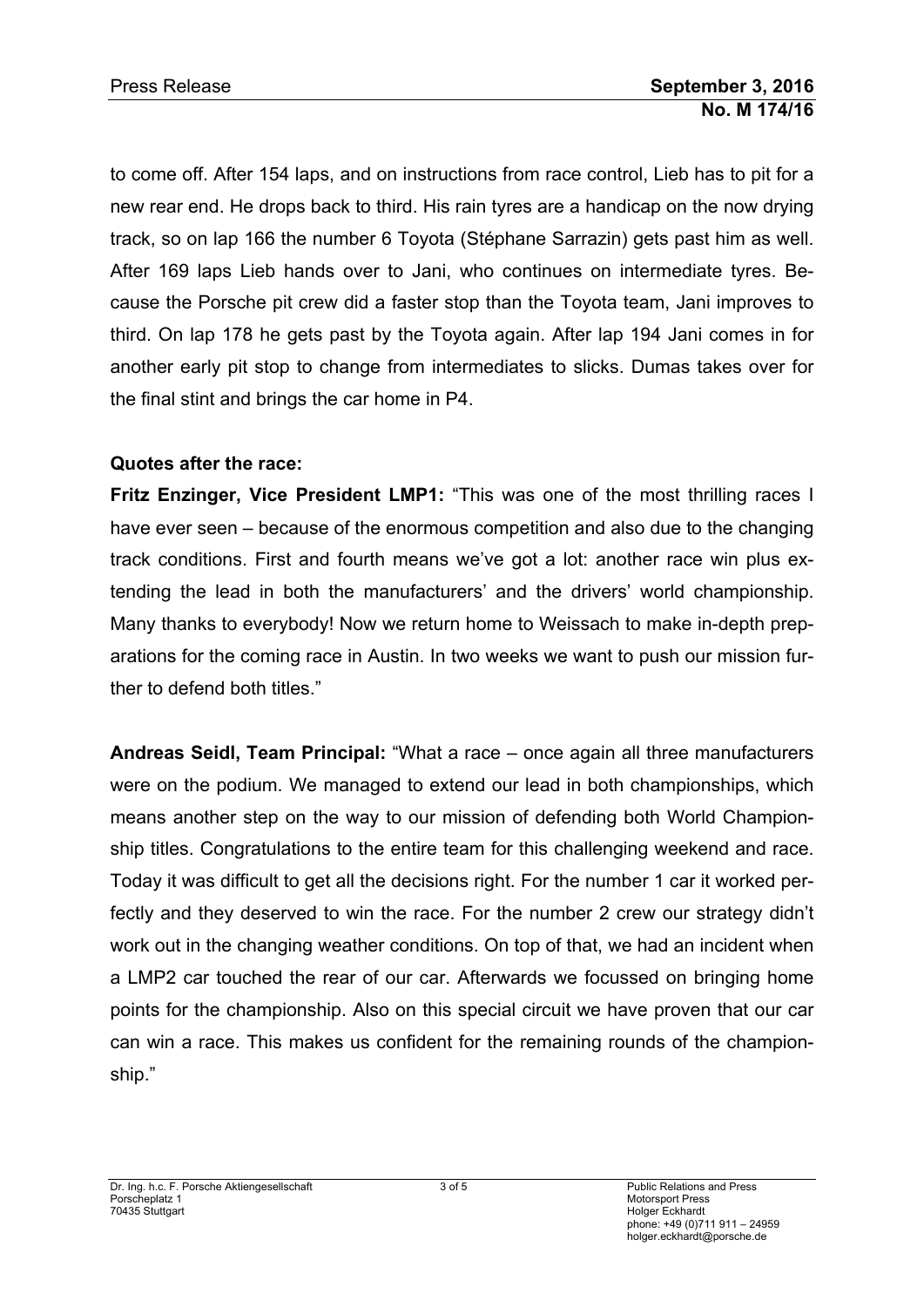to come off. After 154 laps, and on instructions from race control, Lieb has to pit for a new rear end. He drops back to third. His rain tyres are a handicap on the now drying track, so on lap 166 the number 6 Toyota (Stéphane Sarrazin) gets past him as well. After 169 laps Lieb hands over to Jani, who continues on intermediate tyres. Because the Porsche pit crew did a faster stop than the Toyota team, Jani improves to third. On lap 178 he gets past by the Toyota again. After lap 194 Jani comes in for another early pit stop to change from intermediates to slicks. Dumas takes over for the final stint and brings the car home in P4.

### **Quotes after the race:**

**Fritz Enzinger, Vice President LMP1:** "This was one of the most thrilling races I have ever seen – because of the enormous competition and also due to the changing track conditions. First and fourth means we've got a lot: another race win plus extending the lead in both the manufacturers' and the drivers' world championship. Many thanks to everybody! Now we return home to Weissach to make in-depth preparations for the coming race in Austin. In two weeks we want to push our mission further to defend both titles."

**Andreas Seidl, Team Principal:** "What a race – once again all three manufacturers were on the podium. We managed to extend our lead in both championships, which means another step on the way to our mission of defending both World Championship titles. Congratulations to the entire team for this challenging weekend and race. Today it was difficult to get all the decisions right. For the number 1 car it worked perfectly and they deserved to win the race. For the number 2 crew our strategy didn't work out in the changing weather conditions. On top of that, we had an incident when a LMP2 car touched the rear of our car. Afterwards we focussed on bringing home points for the championship. Also on this special circuit we have proven that our car can win a race. This makes us confident for the remaining rounds of the championship."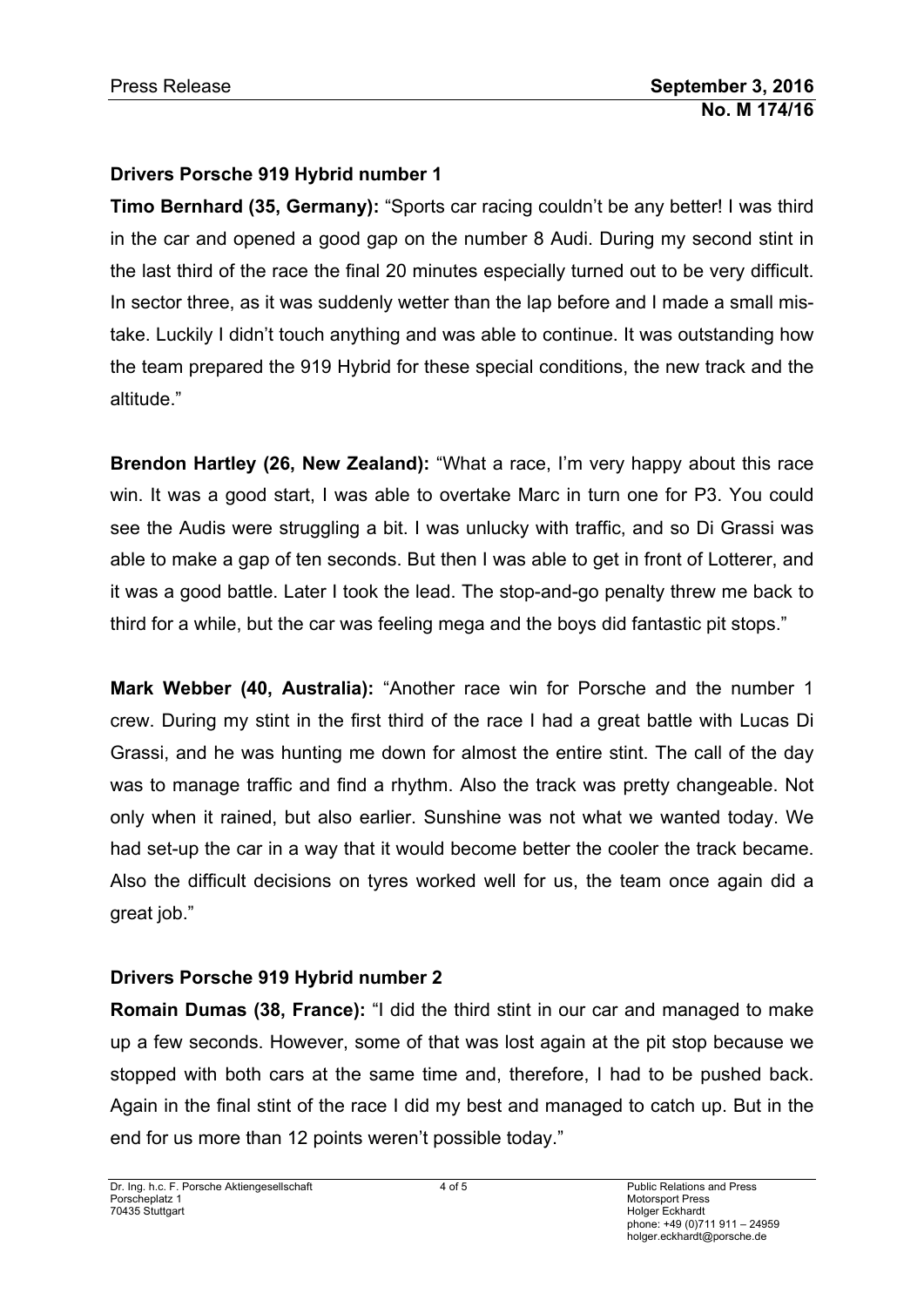# **Drivers Porsche 919 Hybrid number 1**

**Timo Bernhard (35, Germany):** "Sports car racing couldn't be any better! I was third in the car and opened a good gap on the number 8 Audi. During my second stint in the last third of the race the final 20 minutes especially turned out to be very difficult. In sector three, as it was suddenly wetter than the lap before and I made a small mistake. Luckily I didn't touch anything and was able to continue. It was outstanding how the team prepared the 919 Hybrid for these special conditions, the new track and the altitude."

**Brendon Hartley (26, New Zealand):** "What a race, I'm very happy about this race win. It was a good start, I was able to overtake Marc in turn one for P3. You could see the Audis were struggling a bit. I was unlucky with traffic, and so Di Grassi was able to make a gap of ten seconds. But then I was able to get in front of Lotterer, and it was a good battle. Later I took the lead. The stop-and-go penalty threw me back to third for a while, but the car was feeling mega and the boys did fantastic pit stops."

**Mark Webber (40, Australia):** "Another race win for Porsche and the number 1 crew. During my stint in the first third of the race I had a great battle with Lucas Di Grassi, and he was hunting me down for almost the entire stint. The call of the day was to manage traffic and find a rhythm. Also the track was pretty changeable. Not only when it rained, but also earlier. Sunshine was not what we wanted today. We had set-up the car in a way that it would become better the cooler the track became. Also the difficult decisions on tyres worked well for us, the team once again did a great job."

# **Drivers Porsche 919 Hybrid number 2**

**Romain Dumas (38, France):** "I did the third stint in our car and managed to make up a few seconds. However, some of that was lost again at the pit stop because we stopped with both cars at the same time and, therefore, I had to be pushed back. Again in the final stint of the race I did my best and managed to catch up. But in the end for us more than 12 points weren't possible today."